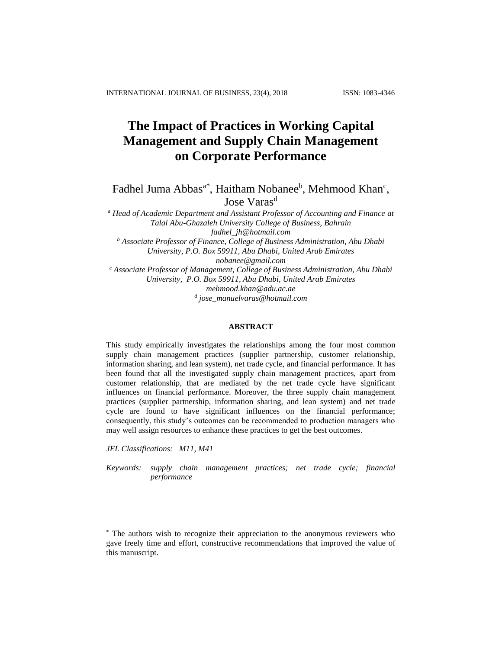# **The Impact of Practices in Working Capital Management and Supply Chain Management on Corporate Performance**

Fadhel Juma Abbas<sup>a\*</sup>, Haitham Nobanee<sup>b</sup>, Mehmood Khan<sup>c</sup>, Jose Varas<sup>d</sup>

*<sup>a</sup> Head of Academic Department and Assistant Professor of Accounting and Finance at Talal Abu-Ghazaleh University College of Business, Bahrain fadhel\_jh@hotmail.com <sup>b</sup> Associate Professor of Finance, College of Business Administration, Abu Dhabi University, P.O. Box 59911, Abu Dhabi, United Arab Emirates nobanee@gmail.com <sup>c</sup> Associate Professor of Management, College of Business Administration, Abu Dhabi University, P.O. Box 59911, Abu Dhabi, United Arab Emirates mehmood.khan@adu.ac.ae d jose\_manuelvaras@hotmail.com*

## **ABSTRACT**

This study empirically investigates the relationships among the four most common supply chain management practices (supplier partnership, customer relationship, information sharing, and lean system), net trade cycle, and financial performance. It has been found that all the investigated supply chain management practices, apart from customer relationship, that are mediated by the net trade cycle have significant influences on financial performance. Moreover, the three supply chain management practices (supplier partnership, information sharing, and lean system) and net trade cycle are found to have significant influences on the financial performance; consequently, this study's outcomes can be recommended to production managers who may well assign resources to enhance these practices to get the best outcomes.

*JEL Classifications: M11, M41*

*Keywords: supply chain management practices; net trade cycle; financial performance*

<sup>\*</sup> The authors wish to recognize their appreciation to the anonymous reviewers who gave freely time and effort, constructive recommendations that improved the value of this manuscript.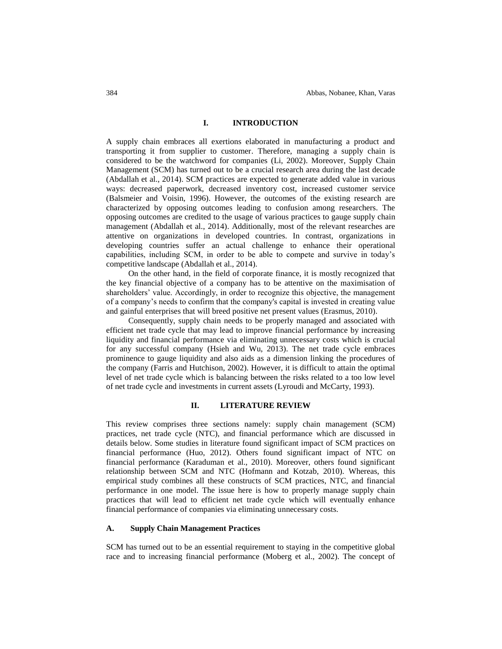#### **I. INTRODUCTION**

A supply chain embraces all exertions elaborated in manufacturing a product and transporting it from supplier to customer. Therefore, managing a supply chain is considered to be the watchword for companies (Li, 2002). Moreover, Supply Chain Management (SCM) has turned out to be a crucial research area during the last decade (Abdallah et al., 2014). SCM practices are expected to generate added value in various ways: decreased paperwork, decreased inventory cost, increased customer service (Balsmeier and Voisin, 1996). However, the outcomes of the existing research are characterized by opposing outcomes leading to confusion among researchers. The opposing outcomes are credited to the usage of various practices to gauge supply chain management (Abdallah et al., 2014). Additionally, most of the relevant researches are attentive on organizations in developed countries. In contrast, organizations in developing countries suffer an actual challenge to enhance their operational capabilities, including SCM, in order to be able to compete and survive in today's competitive landscape (Abdallah et al., 2014).

On the other hand, in the field of corporate finance, it is mostly recognized that the key financial objective of a company has to be attentive on the maximisation of shareholders' value. Accordingly, in order to recognize this objective, the management of a company's needs to confirm that the company's capital is invested in creating value and gainful enterprises that will breed positive net present values (Erasmus, 2010).

Consequently, supply chain needs to be properly managed and associated with efficient net trade cycle that may lead to improve financial performance by increasing liquidity and financial performance via eliminating unnecessary costs which is crucial for any successful company (Hsieh and Wu, 2013). The net trade cycle embraces prominence to gauge liquidity and also aids as a dimension linking the procedures of the company (Farris and Hutchison, 2002). However, it is difficult to attain the optimal level of net trade cycle which is balancing between the risks related to a too low level of net trade cycle and investments in current assets (Lyroudi and McCarty, 1993).

## **II. LITERATURE REVIEW**

This review comprises three sections namely: supply chain management (SCM) practices, net trade cycle (NTC), and financial performance which are discussed in details below. Some studies in literature found significant impact of SCM practices on financial performance (Huo, 2012). Others found significant impact of NTC on financial performance (Karaduman et al., 2010). Moreover, others found significant relationship between SCM and NTC (Hofmann and Kotzab, 2010). Whereas, this empirical study combines all these constructs of SCM practices, NTC, and financial performance in one model. The issue here is how to properly manage supply chain practices that will lead to efficient net trade cycle which will eventually enhance financial performance of companies via eliminating unnecessary costs.

# **A. Supply Chain Management Practices**

SCM has turned out to be an essential requirement to staying in the competitive global race and to increasing financial performance (Moberg et al., 2002). The concept of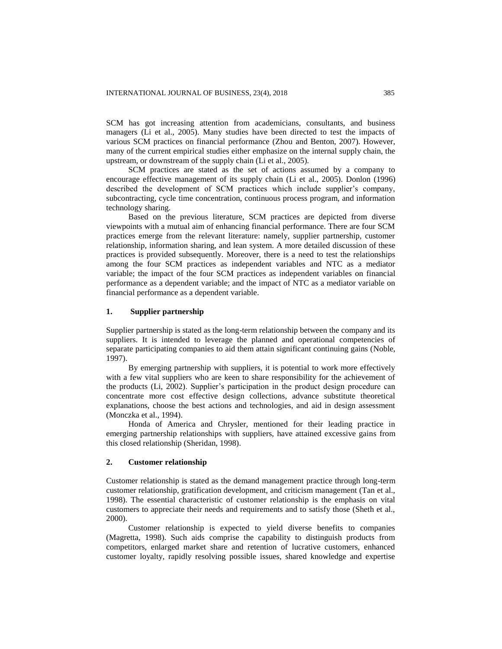SCM has got increasing attention from academicians, consultants, and business managers (Li et al., 2005). Many studies have been directed to test the impacts of various SCM practices on financial performance (Zhou and Benton, 2007). However, many of the current empirical studies either emphasize on the internal supply chain, the upstream, or downstream of the supply chain (Li et al., 2005).

SCM practices are stated as the set of actions assumed by a company to encourage effective management of its supply chain (Li et al., 2005). Donlon (1996) described the development of SCM practices which include supplier's company, subcontracting, cycle time concentration, continuous process program, and information technology sharing.

Based on the previous literature, SCM practices are depicted from diverse viewpoints with a mutual aim of enhancing financial performance. There are four SCM practices emerge from the relevant literature: namely, supplier partnership, customer relationship, information sharing, and lean system. A more detailed discussion of these practices is provided subsequently. Moreover, there is a need to test the relationships among the four SCM practices as independent variables and NTC as a mediator variable; the impact of the four SCM practices as independent variables on financial performance as a dependent variable; and the impact of NTC as a mediator variable on financial performance as a dependent variable.

## **1. Supplier partnership**

Supplier partnership is stated as the long-term relationship between the company and its suppliers. It is intended to leverage the planned and operational competencies of separate participating companies to aid them attain significant continuing gains (Noble, 1997).

By emerging partnership with suppliers, it is potential to work more effectively with a few vital suppliers who are keen to share responsibility for the achievement of the products (Li, 2002). Supplier's participation in the product design procedure can concentrate more cost effective design collections, advance substitute theoretical explanations, choose the best actions and technologies, and aid in design assessment (Monczka et al., 1994).

Honda of America and Chrysler, mentioned for their leading practice in emerging partnership relationships with suppliers, have attained excessive gains from this closed relationship (Sheridan, 1998).

## **2. Customer relationship**

Customer relationship is stated as the demand management practice through long-term customer relationship, gratification development, and criticism management (Tan et al., 1998). The essential characteristic of customer relationship is the emphasis on vital customers to appreciate their needs and requirements and to satisfy those (Sheth et al., 2000).

Customer relationship is expected to yield diverse benefits to companies (Magretta, 1998). Such aids comprise the capability to distinguish products from competitors, enlarged market share and retention of lucrative customers, enhanced customer loyalty, rapidly resolving possible issues, shared knowledge and expertise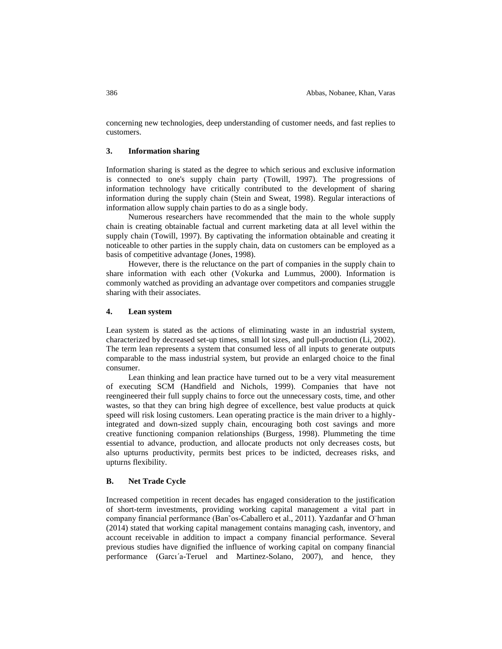concerning new technologies, deep understanding of customer needs, and fast replies to customers.

#### **3. Information sharing**

Information sharing is stated as the degree to which serious and exclusive information is connected to one's supply chain party (Towill, 1997). The progressions of information technology have critically contributed to the development of sharing information during the supply chain (Stein and Sweat, 1998). Regular interactions of information allow supply chain parties to do as a single body.

Numerous researchers have recommended that the main to the whole supply chain is creating obtainable factual and current marketing data at all level within the supply chain (Towill, 1997). By captivating the information obtainable and creating it noticeable to other parties in the supply chain, data on customers can be employed as a basis of competitive advantage (Jones, 1998).

However, there is the reluctance on the part of companies in the supply chain to share information with each other (Vokurka and Lummus, 2000). Information is commonly watched as providing an advantage over competitors and companies struggle sharing with their associates.

### **4. Lean system**

Lean system is stated as the actions of eliminating waste in an industrial system, characterized by decreased set-up times, small lot sizes, and pull-production (Li, 2002). The term lean represents a system that consumed less of all inputs to generate outputs comparable to the mass industrial system, but provide an enlarged choice to the final consumer.

Lean thinking and lean practice have turned out to be a very vital measurement of executing SCM (Handfield and Nichols, 1999). Companies that have not reengineered their full supply chains to force out the unnecessary costs, time, and other wastes, so that they can bring high degree of excellence, best value products at quick speed will risk losing customers. Lean operating practice is the main driver to a highlyintegrated and down-sized supply chain, encouraging both cost savings and more creative functioning companion relationships (Burgess, 1998). Plummeting the time essential to advance, production, and allocate products not only decreases costs, but also upturns productivity, permits best prices to be indicted, decreases risks, and upturns flexibility.

#### **B. Net Trade Cycle**

Increased competition in recent decades has engaged consideration to the justification of short-term investments, providing working capital management a vital part in company financial performance (Ban˜os-Caballero et al., 2011). Yazdanfar and O¨hman (2014) stated that working capital management contains managing cash, inventory, and account receivable in addition to impact a company financial performance. Several previous studies have dignified the influence of working capital on company financial performance (Garcı´a-Teruel and Martinez-Solano, 2007), and hence, they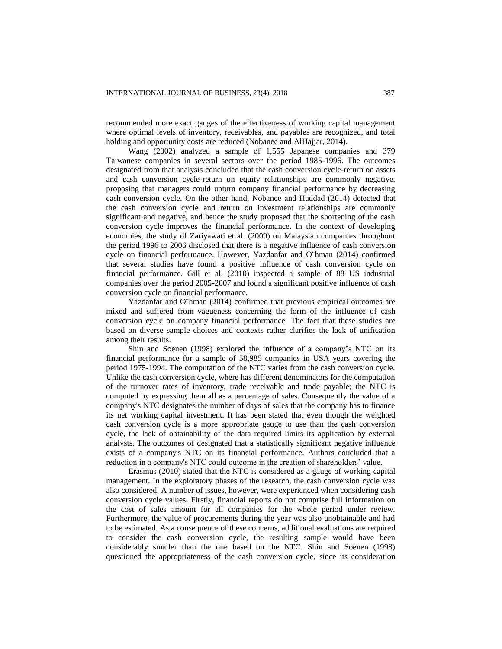recommended more exact gauges of the effectiveness of working capital management where optimal levels of inventory, receivables, and payables are recognized, and total holding and opportunity costs are reduced (Nobanee and AlHajjar, 2014).

Wang (2002) analyzed a sample of 1,555 Japanese companies and 379 Taiwanese companies in several sectors over the period 1985-1996. The outcomes designated from that analysis concluded that the cash conversion cycle-return on assets and cash conversion cycle-return on equity relationships are commonly negative, proposing that managers could upturn company financial performance by decreasing cash conversion cycle. On the other hand, Nobanee and Haddad (2014) detected that the cash conversion cycle and return on investment relationships are commonly significant and negative, and hence the study proposed that the shortening of the cash conversion cycle improves the financial performance. In the context of developing economies, the study of Zariyawati et al. (2009) on Malaysian companies throughout the period 1996 to 2006 disclosed that there is a negative influence of cash conversion cycle on financial performance. However, Yazdanfar and O¨hman (2014) confirmed that several studies have found a positive influence of cash conversion cycle on financial performance. Gill et al. (2010) inspected a sample of 88 US industrial companies over the period 2005-2007 and found a significant positive influence of cash conversion cycle on financial performance.

Yazdanfar and O¨hman (2014) confirmed that previous empirical outcomes are mixed and suffered from vagueness concerning the form of the influence of cash conversion cycle on company financial performance. The fact that these studies are based on diverse sample choices and contexts rather clarifies the lack of unification among their results.

Shin and Soenen (1998) explored the influence of a company's NTC on its financial performance for a sample of 58,985 companies in USA years covering the period 1975-1994. The computation of the NTC varies from the cash conversion cycle. Unlike the cash conversion cycle, where has different denominators for the computation of the turnover rates of inventory, trade receivable and trade payable; the NTC is computed by expressing them all as a percentage of sales. Consequently the value of a company's NTC designates the number of days of sales that the company has to finance its net working capital investment. It has been stated that even though the weighted cash conversion cycle is a more appropriate gauge to use than the cash conversion cycle, the lack of obtainability of the data required limits its application by external analysts. The outcomes of designated that a statistically significant negative influence exists of a company's NTC on its financial performance. Authors concluded that a reduction in a company's NTC could outcome in the creation of shareholders' value.

Erasmus (2010) stated that the NTC is considered as a gauge of working capital management. In the exploratory phases of the research, the cash conversion cycle was also considered. A number of issues, however, were experienced when considering cash conversion cycle values. Firstly, financial reports do not comprise full information on the cost of sales amount for all companies for the whole period under review. Furthermore, the value of procurements during the year was also unobtainable and had to be estimated. As a consequence of these concerns, additional evaluations are required to consider the cash conversion cycle, the resulting sample would have been considerably smaller than the one based on the NTC. Shin and Soenen (1998) questioned the appropriateness of the cash conversion cycle, since its consideration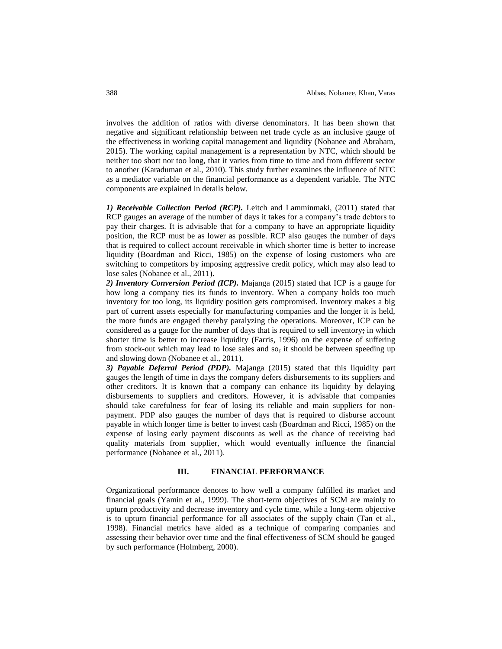involves the addition of ratios with diverse denominators. It has been shown that negative and significant relationship between net trade cycle as an inclusive gauge of the effectiveness in working capital management and liquidity (Nobanee and Abraham, 2015). The working capital management is a representation by NTC, which should be neither too short nor too long, that it varies from time to time and from different sector to another (Karaduman et al., 2010). This study further examines the influence of NTC as a mediator variable on the financial performance as a dependent variable. The NTC components are explained in details below.

*1) Receivable Collection Period (RCP).* Leitch and Lamminmaki, (2011) stated that RCP gauges an average of the number of days it takes for a company's trade debtors to pay their charges. It is advisable that for a company to have an appropriate liquidity position, the RCP must be as lower as possible. RCP also gauges the number of days that is required to collect account receivable in which shorter time is better to increase liquidity (Boardman and Ricci, 1985) on the expense of losing customers who are switching to competitors by imposing aggressive credit policy, which may also lead to lose sales (Nobanee et al., 2011).

*2) Inventory Conversion Period (ICP).* Majanga (2015) stated that ICP is a gauge for how long a company ties its funds to inventory. When a company holds too much inventory for too long, its liquidity position gets compromised. Inventory makes a big part of current assets especially for manufacturing companies and the longer it is held, the more funds are engaged thereby paralyzing the operations. Moreover, ICP can be considered as a gauge for the number of days that is required to sell inventory; in which shorter time is better to increase liquidity (Farris, 1996) on the expense of suffering from stock-out which may lead to lose sales and so, it should be between speeding up and slowing down (Nobanee et al., 2011).

*3) Payable Deferral Period (PDP).* Majanga (2015) stated that this liquidity part gauges the length of time in days the company defers disbursements to its suppliers and other creditors. It is known that a company can enhance its liquidity by delaying disbursements to suppliers and creditors. However, it is advisable that companies should take carefulness for fear of losing its reliable and main suppliers for nonpayment. PDP also gauges the number of days that is required to disburse account payable in which longer time is better to invest cash (Boardman and Ricci, 1985) on the expense of losing early payment discounts as well as the chance of receiving bad quality materials from supplier, which would eventually influence the financial performance (Nobanee et al., 2011).

## **III. FINANCIAL PERFORMANCE**

Organizational performance denotes to how well a company fulfilled its market and financial goals (Yamin et al., 1999). The short-term objectives of SCM are mainly to upturn productivity and decrease inventory and cycle time, while a long-term objective is to upturn financial performance for all associates of the supply chain (Tan et al., 1998). Financial metrics have aided as a technique of comparing companies and assessing their behavior over time and the final effectiveness of SCM should be gauged by such performance (Holmberg, 2000).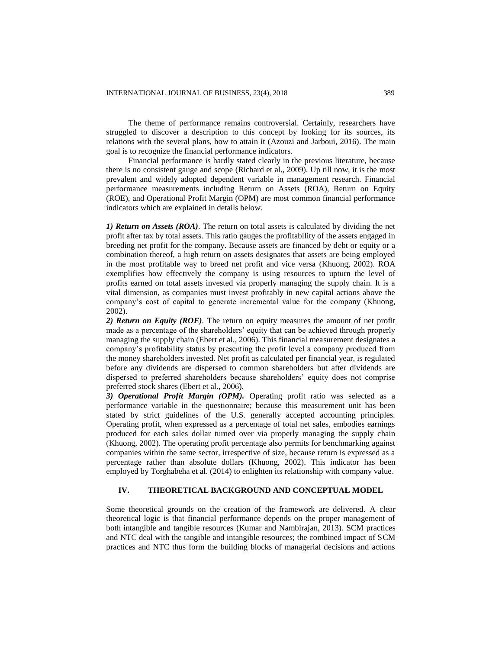The theme of performance remains controversial. Certainly, researchers have struggled to discover a description to this concept by looking for its sources, its relations with the several plans, how to attain it (Azouzi and Jarboui, 2016). The main goal is to recognize the financial performance indicators.

Financial performance is hardly stated clearly in the previous literature, because there is no consistent gauge and scope (Richard et al., 2009). Up till now, it is the most prevalent and widely adopted dependent variable in management research. Financial performance measurements including Return on Assets (ROA), Return on Equity (ROE), and Operational Profit Margin (OPM) are most common financial performance indicators which are explained in details below.

*1) Return on Assets (ROA).* The return on total assets is calculated by dividing the net profit after tax by total assets. This ratio gauges the profitability of the assets engaged in breeding net profit for the company. Because assets are financed by debt or equity or a combination thereof, a high return on assets designates that assets are being employed in the most profitable way to breed net profit and vice versa (Khuong, 2002). ROA exemplifies how effectively the company is using resources to upturn the level of profits earned on total assets invested via properly managing the supply chain. It is a vital dimension, as companies must invest profitably in new capital actions above the company's cost of capital to generate incremental value for the company (Khuong, 2002).

*2) Return on Equity (ROE).* The return on equity measures the amount of net profit made as a percentage of the shareholders' equity that can be achieved through properly managing the supply chain (Ebert et al., 2006). This financial measurement designates a company's profitability status by presenting the profit level a company produced from the money shareholders invested. Net profit as calculated per financial year, is regulated before any dividends are dispersed to common shareholders but after dividends are dispersed to preferred shareholders because shareholders' equity does not comprise preferred stock shares (Ebert et al., 2006).

*3) Operational Profit Margin (OPM).* Operating profit ratio was selected as a performance variable in the questionnaire; because this measurement unit has been stated by strict guidelines of the U.S. generally accepted accounting principles. Operating profit, when expressed as a percentage of total net sales, embodies earnings produced for each sales dollar turned over via properly managing the supply chain (Khuong, 2002). The operating profit percentage also permits for benchmarking against companies within the same sector, irrespective of size, because return is expressed as a percentage rather than absolute dollars (Khuong, 2002). This indicator has been employed by Torghabeha et al. (2014) to enlighten its relationship with company value.

#### **IV. THEORETICAL BACKGROUND AND CONCEPTUAL MODEL**

Some theoretical grounds on the creation of the framework are delivered. A clear theoretical logic is that financial performance depends on the proper management of both intangible and tangible resources (Kumar and Nambirajan, 2013). SCM practices and NTC deal with the tangible and intangible resources; the combined impact of SCM practices and NTC thus form the building blocks of managerial decisions and actions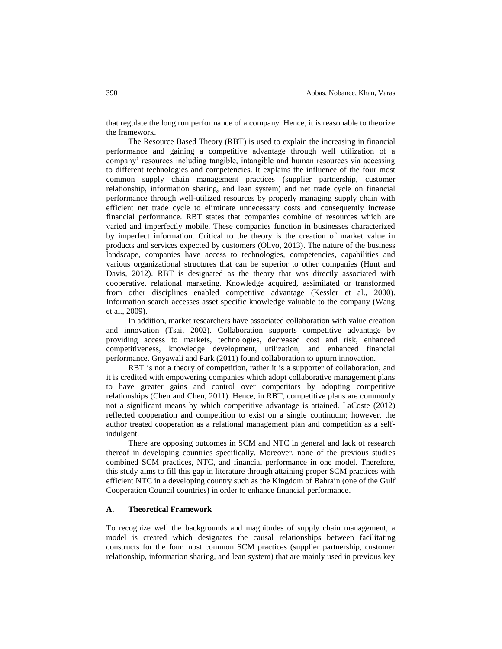that regulate the long run performance of a company. Hence, it is reasonable to theorize the framework.

The Resource Based Theory (RBT) is used to explain the increasing in financial performance and gaining a competitive advantage through well utilization of a company' resources including tangible, intangible and human resources via accessing to different technologies and competencies. It explains the influence of the four most common supply chain management practices (supplier partnership, customer relationship, information sharing, and lean system) and net trade cycle on financial performance through well-utilized resources by properly managing supply chain with efficient net trade cycle to eliminate unnecessary costs and consequently increase financial performance. RBT states that companies combine of resources which are varied and imperfectly mobile. These companies function in businesses characterized by imperfect information. Critical to the theory is the creation of market value in products and services expected by customers (Olivo, 2013). The nature of the business landscape, companies have access to technologies, competencies, capabilities and various organizational structures that can be superior to other companies (Hunt and Davis, 2012). RBT is designated as the theory that was directly associated with cooperative, relational marketing. Knowledge acquired, assimilated or transformed from other disciplines enabled competitive advantage (Kessler et al., 2000). Information search accesses asset specific knowledge valuable to the company (Wang et al., 2009).

In addition, market researchers have associated collaboration with value creation and innovation (Tsai, 2002). Collaboration supports competitive advantage by providing access to markets, technologies, decreased cost and risk, enhanced competitiveness, knowledge development, utilization, and enhanced financial performance. Gnyawali and Park (2011) found collaboration to upturn innovation.

RBT is not a theory of competition, rather it is a supporter of collaboration, and it is credited with empowering companies which adopt collaborative management plans to have greater gains and control over competitors by adopting competitive relationships (Chen and Chen, 2011). Hence, in RBT, competitive plans are commonly not a significant means by which competitive advantage is attained. LaCoste (2012) reflected cooperation and competition to exist on a single continuum; however, the author treated cooperation as a relational management plan and competition as a selfindulgent.

There are opposing outcomes in SCM and NTC in general and lack of research thereof in developing countries specifically. Moreover, none of the previous studies combined SCM practices, NTC, and financial performance in one model. Therefore, this study aims to fill this gap in literature through attaining proper SCM practices with efficient NTC in a developing country such as the Kingdom of Bahrain (one of the Gulf Cooperation Council countries) in order to enhance financial performance.

# **A. Theoretical Framework**

To recognize well the backgrounds and magnitudes of supply chain management, a model is created which designates the causal relationships between facilitating constructs for the four most common SCM practices (supplier partnership, customer relationship, information sharing, and lean system) that are mainly used in previous key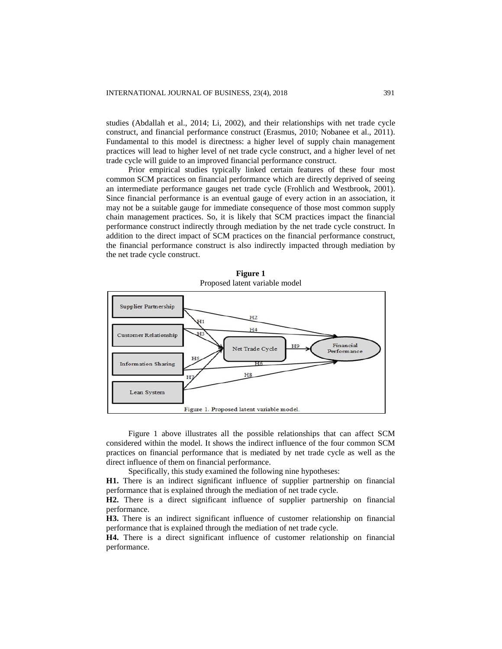studies (Abdallah et al., 2014; Li, 2002), and their relationships with net trade cycle construct, and financial performance construct (Erasmus, 2010; Nobanee et al., 2011). Fundamental to this model is directness: a higher level of supply chain management practices will lead to higher level of net trade cycle construct, and a higher level of net trade cycle will guide to an improved financial performance construct.

Prior empirical studies typically linked certain features of these four most common SCM practices on financial performance which are directly deprived of seeing an intermediate performance gauges net trade cycle (Frohlich and Westbrook, 2001). Since financial performance is an eventual gauge of every action in an association, it may not be a suitable gauge for immediate consequence of those most common supply chain management practices. So, it is likely that SCM practices impact the financial performance construct indirectly through mediation by the net trade cycle construct. In addition to the direct impact of SCM practices on the financial performance construct, the financial performance construct is also indirectly impacted through mediation by the net trade cycle construct.



**Figure 1** Proposed latent variable model

Figure 1 above illustrates all the possible relationships that can affect SCM considered within the model. It shows the indirect influence of the four common SCM practices on financial performance that is mediated by net trade cycle as well as the direct influence of them on financial performance.

Specifically, this study examined the following nine hypotheses:

**H1.** There is an indirect significant influence of supplier partnership on financial performance that is explained through the mediation of net trade cycle.

**H2.** There is a direct significant influence of supplier partnership on financial performance.

**H3.** There is an indirect significant influence of customer relationship on financial performance that is explained through the mediation of net trade cycle.

**H4.** There is a direct significant influence of customer relationship on financial performance.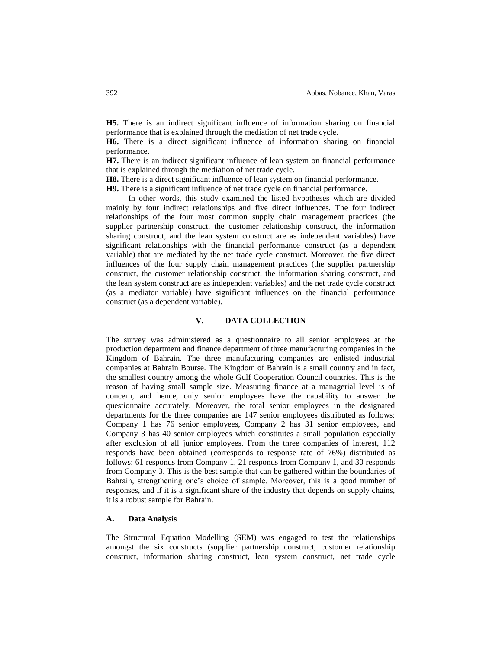**H5.** There is an indirect significant influence of information sharing on financial performance that is explained through the mediation of net trade cycle.

**H6.** There is a direct significant influence of information sharing on financial performance.

**H7.** There is an indirect significant influence of lean system on financial performance that is explained through the mediation of net trade cycle.

**H8.** There is a direct significant influence of lean system on financial performance.

**H9.** There is a significant influence of net trade cycle on financial performance.

In other words, this study examined the listed hypotheses which are divided mainly by four indirect relationships and five direct influences. The four indirect relationships of the four most common supply chain management practices (the supplier partnership construct, the customer relationship construct, the information sharing construct, and the lean system construct are as independent variables) have significant relationships with the financial performance construct (as a dependent variable) that are mediated by the net trade cycle construct. Moreover, the five direct influences of the four supply chain management practices (the supplier partnership construct, the customer relationship construct, the information sharing construct, and the lean system construct are as independent variables) and the net trade cycle construct (as a mediator variable) have significant influences on the financial performance construct (as a dependent variable).

# **V. DATA COLLECTION**

The survey was administered as a questionnaire to all senior employees at the production department and finance department of three manufacturing companies in the Kingdom of Bahrain. The three manufacturing companies are enlisted industrial companies at Bahrain Bourse. The Kingdom of Bahrain is a small country and in fact, the smallest country among the whole Gulf Cooperation Council countries. This is the reason of having small sample size. Measuring finance at a managerial level is of concern, and hence, only senior employees have the capability to answer the questionnaire accurately. Moreover, the total senior employees in the designated departments for the three companies are 147 senior employees distributed as follows: Company 1 has 76 senior employees, Company 2 has 31 senior employees, and Company 3 has 40 senior employees which constitutes a small population especially after exclusion of all junior employees. From the three companies of interest, 112 responds have been obtained (corresponds to response rate of 76%) distributed as follows: 61 responds from Company 1, 21 responds from Company 1, and 30 responds from Company 3. This is the best sample that can be gathered within the boundaries of Bahrain, strengthening one's choice of sample. Moreover, this is a good number of responses, and if it is a significant share of the industry that depends on supply chains, it is a robust sample for Bahrain.

# **A. Data Analysis**

The Structural Equation Modelling (SEM) was engaged to test the relationships amongst the six constructs (supplier partnership construct, customer relationship construct, information sharing construct, lean system construct, net trade cycle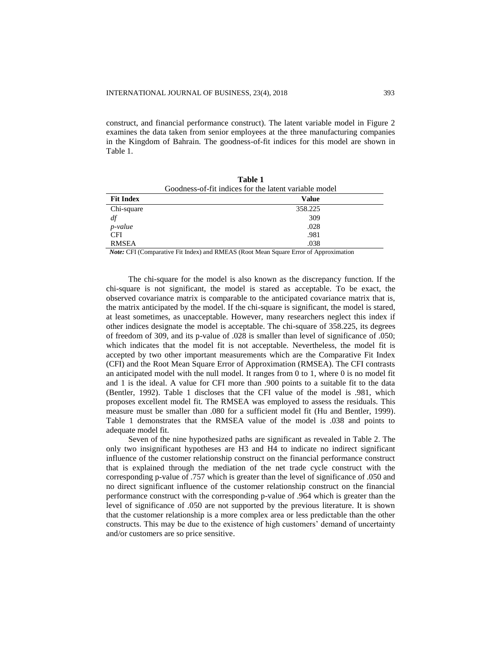construct, and financial performance construct). The latent variable model in Figure 2 examines the data taken from senior employees at the three manufacturing companies in the Kingdom of Bahrain. The goodness-of-fit indices for this model are shown in Table 1.

**Table 1**

| Goodness-of-fit indices for the latent variable model |         |  |  |  |
|-------------------------------------------------------|---------|--|--|--|
| <b>Fit Index</b>                                      | Value   |  |  |  |
| Chi-square                                            | 358.225 |  |  |  |
| df                                                    | 309     |  |  |  |
| $p$ -value                                            | .028    |  |  |  |
| <b>CFI</b>                                            | .981    |  |  |  |
| <b>RMSEA</b>                                          | .038    |  |  |  |

 *Note:* CFI (Comparative Fit Index) and RMEAS (Root Mean Square Error of Approximation

The chi-square for the model is also known as the discrepancy function. If the chi-square is not significant, the model is stared as acceptable. To be exact, the observed covariance matrix is comparable to the anticipated covariance matrix that is, the matrix anticipated by the model. If the chi-square is significant, the model is stared, at least sometimes, as unacceptable. However, many researchers neglect this index if other indices designate the model is acceptable. The chi-square of 358.225, its degrees of freedom of 309, and its p-value of .028 is smaller than level of significance of .050; which indicates that the model fit is not acceptable. Nevertheless, the model fit is accepted by two other important measurements which are the Comparative Fit Index (CFI) and the Root Mean Square Error of Approximation (RMSEA). The CFI contrasts an anticipated model with the null model. It ranges from  $0$  to  $1$ , where  $0$  is no model fit and 1 is the ideal. A value for CFI more than .900 points to a suitable fit to the data (Bentler, 1992). Table 1 discloses that the CFI value of the model is .981, which proposes excellent model fit. The RMSEA was employed to assess the residuals. This measure must be smaller than .080 for a sufficient model fit (Hu and Bentler, 1999). Table 1 demonstrates that the RMSEA value of the model is .038 and points to adequate model fit.

Seven of the nine hypothesized paths are significant as revealed in Table 2. The only two insignificant hypotheses are H3 and H4 to indicate no indirect significant influence of the customer relationship construct on the financial performance construct that is explained through the mediation of the net trade cycle construct with the corresponding p-value of .757 which is greater than the level of significance of .050 and no direct significant influence of the customer relationship construct on the financial performance construct with the corresponding p-value of .964 which is greater than the level of significance of .050 are not supported by the previous literature. It is shown that the customer relationship is a more complex area or less predictable than the other constructs. This may be due to the existence of high customers' demand of uncertainty and/or customers are so price sensitive.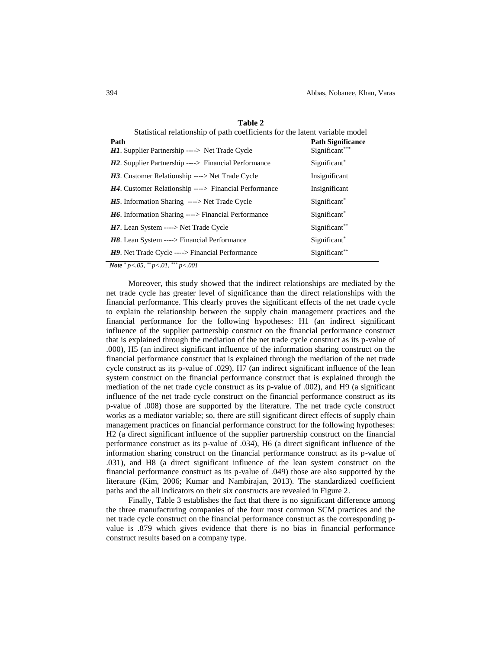| Statistical relationship of path coefficients for the latent variable model |                          |  |  |  |
|-----------------------------------------------------------------------------|--------------------------|--|--|--|
| Path                                                                        | <b>Path Significance</b> |  |  |  |
| <b>H1.</b> Supplier Partnership ----> Net Trade Cycle                       | Significant***           |  |  |  |
| $H2$ . Supplier Partnership ----> Financial Performance                     | Significant <sup>*</sup> |  |  |  |
| H3. Customer Relationship ----> Net Trade Cycle                             | Insignificant            |  |  |  |
| <b>H4.</b> Customer Relationship ----> Financial Performance                | Insignificant            |  |  |  |
| <b>H5</b> . Information Sharing ----> Net Trade Cycle                       | Significant <sup>*</sup> |  |  |  |
| <b>H6.</b> Information Sharing ----> Financial Performance                  | Significant <sup>*</sup> |  |  |  |
| $H7$ . Lean System ----> Net Trade Cycle                                    | Significant**            |  |  |  |
| <b>H8.</b> Lean System ----> Financial Performance                          | Significant <sup>*</sup> |  |  |  |
| H9. Net Trade Cycle ----> Financial Performance                             | Significant**            |  |  |  |

**Table 2**

 *Note \* p<.05, \*\* p<.01, \*\*\* p<.001*

Moreover, this study showed that the indirect relationships are mediated by the net trade cycle has greater level of significance than the direct relationships with the financial performance. This clearly proves the significant effects of the net trade cycle to explain the relationship between the supply chain management practices and the financial performance for the following hypotheses: H1 (an indirect significant influence of the supplier partnership construct on the financial performance construct that is explained through the mediation of the net trade cycle construct as its p-value of .000), H5 (an indirect significant influence of the information sharing construct on the financial performance construct that is explained through the mediation of the net trade cycle construct as its p-value of .029), H7 (an indirect significant influence of the lean system construct on the financial performance construct that is explained through the mediation of the net trade cycle construct as its p-value of .002), and H9 (a significant influence of the net trade cycle construct on the financial performance construct as its p-value of .008) those are supported by the literature. The net trade cycle construct works as a mediator variable; so, there are still significant direct effects of supply chain management practices on financial performance construct for the following hypotheses: H2 (a direct significant influence of the supplier partnership construct on the financial performance construct as its p-value of .034), H6 (a direct significant influence of the information sharing construct on the financial performance construct as its p-value of .031), and H8 (a direct significant influence of the lean system construct on the financial performance construct as its p-value of .049) those are also supported by the literature (Kim, 2006; Kumar and Nambirajan, 2013). The standardized coefficient paths and the all indicators on their six constructs are revealed in Figure 2.

Finally, Table 3 establishes the fact that there is no significant difference among the three manufacturing companies of the four most common SCM practices and the net trade cycle construct on the financial performance construct as the corresponding pvalue is .879 which gives evidence that there is no bias in financial performance construct results based on a company type.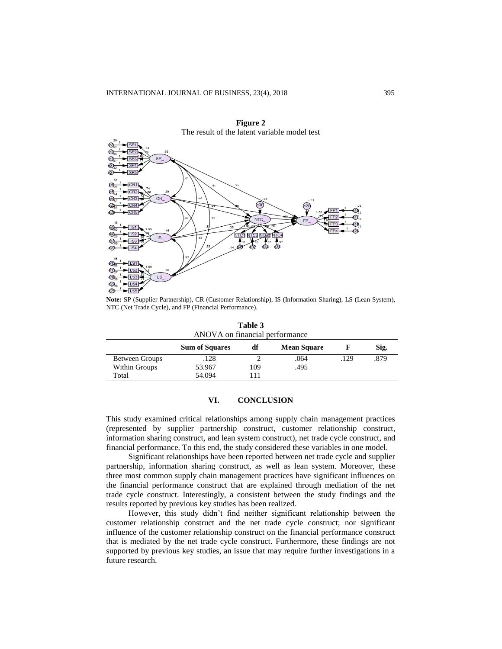

**Note:** SP (Supplier Partnership), CR (Customer Relationship), IS (Information Sharing), LS (Lean System), NTC (Net Trade Cycle), and FP (Financial Performance).

| ANOVA on financial performance |                       |     |                    |      |      |  |  |
|--------------------------------|-----------------------|-----|--------------------|------|------|--|--|
|                                | <b>Sum of Squares</b> | df  | <b>Mean Square</b> |      | Sig. |  |  |
| Between Groups                 | .128                  |     | .064               | .129 | .879 |  |  |
| Within Groups                  | 53.967                | 109 | .495               |      |      |  |  |
| Total                          | 54.094                |     |                    |      |      |  |  |

**Table 3**

# **VI. CONCLUSION**

This study examined critical relationships among supply chain management practices (represented by supplier partnership construct, customer relationship construct, information sharing construct, and lean system construct), net trade cycle construct, and financial performance. To this end, the study considered these variables in one model.

Significant relationships have been reported between net trade cycle and supplier partnership, information sharing construct, as well as lean system. Moreover, these three most common supply chain management practices have significant influences on the financial performance construct that are explained through mediation of the net trade cycle construct. Interestingly, a consistent between the study findings and the results reported by previous key studies has been realized.

However, this study didn't find neither significant relationship between the customer relationship construct and the net trade cycle construct; nor significant influence of the customer relationship construct on the financial performance construct that is mediated by the net trade cycle construct. Furthermore, these findings are not supported by previous key studies, an issue that may require further investigations in a future research.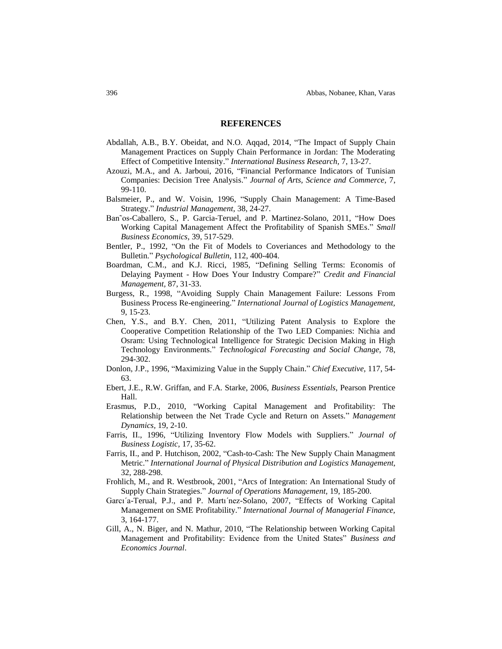## **REFERENCES**

- Abdallah, A.B., B.Y. Obeidat, and N.O. Aqqad, 2014, "The Impact of Supply Chain Management Practices on Supply Chain Performance in Jordan: The Moderating Effect of Competitive Intensity." *International Business Research,* 7, 13-27.
- Azouzi, M.A., and A. Jarboui, 2016, "Financial Performance Indicators of Tunisian Companies: Decision Tree Analysis." *Journal of Arts, Science and Commerce,* 7, 99-110.
- Balsmeier, P., and W. Voisin, 1996, "Supply Chain Management: A Time-Based Strategy." *Industrial Management,* 38, 24-27.
- Ban˜os-Caballero, S., P. Garcia-Teruel, and P. Martinez-Solano, 2011, "How Does Working Capital Management Affect the Profitability of Spanish SMEs." *Small Business Economics,* 39, 517-529.
- Bentler, P., 1992, "On the Fit of Models to Coveriances and Methodology to the Bulletin." *Psychological Bulletin,* 112, 400-404.
- Boardman, C.M., and K.J. Ricci, 1985, "Defining Selling Terms: Economis of Delaying Payment - How Does Your Industry Compare?" *Credit and Financial Management,* 87, 31-33.
- Burgess, R., 1998, "Avoiding Supply Chain Management Failure: Lessons From Business Process Re-engineering." *International Journal of Logistics Management,*  9, 15-23.
- Chen, Y.S., and B.Y. Chen, 2011, "Utilizing Patent Analysis to Explore the Cooperative Competition Relationship of the Two LED Companies: Nichia and Osram: Using Technological Intelligence for Strategic Decision Making in High Technology Environments." *Technological Forecasting and Social Change,* 78, 294-302.
- Donlon, J.P., 1996, "Maximizing Value in the Supply Chain." *Chief Executive,* 117, 54- 63.
- Ebert, J.E., R.W. Griffan, and F.A. Starke, 2006, *Business Essentials*, Pearson Prentice Hall.
- Erasmus, P.D., 2010, "Working Capital Management and Profitability: The Relationship between the Net Trade Cycle and Return on Assets." *Management Dynamics,* 19, 2-10.
- Farris, II., 1996, "Utilizing Inventory Flow Models with Suppliers." *Journal of Business Logistic,* 17, 35-62.
- Farris, II., and P. Hutchison, 2002, "Cash-to-Cash: The New Supply Chain Managment Metric." *International Journal of Physical Distribution and Logistics Management,*  32, 288-298.
- Frohlich, M., and R. Westbrook, 2001, "Arcs of Integration: An International Study of Supply Chain Strategies." *Journal of Operations Management,* 19, 185-200.
- Garcı´a-Terual, P.J., and P. Martı´nez-Solano, 2007, "Effects of Working Capital Management on SME Profitability." *International Journal of Managerial Finance,*  3, 164-177.
- Gill, A., N. Biger, and N. Mathur, 2010, "The Relationship between Working Capital Management and Profitability: Evidence from the United States" *Business and Economics Journal*.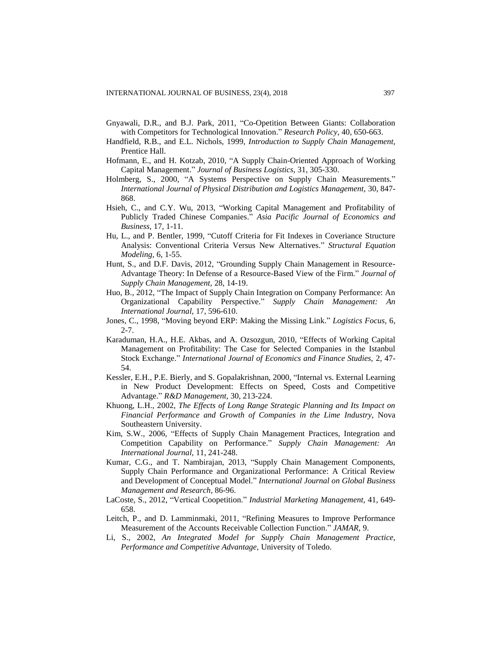- Gnyawali, D.R., and B.J. Park, 2011, "Co-Opetition Between Giants: Collaboration with Competitors for Technological Innovation." *Research Policy,* 40, 650-663.
- Handfield, R.B., and E.L. Nichols, 1999, *Introduction to Supply Chain Management,*  Prentice Hall.
- Hofmann, E., and H. Kotzab, 2010, "A Supply Chain-Oriented Approach of Working Capital Management." *Journal of Business Logistics,* 31, 305-330.
- Holmberg, S., 2000, "A Systems Perspective on Supply Chain Measurements." *International Journal of Physical Distribution and Logistics Management,* 30, 847- 868.
- Hsieh, C., and C.Y. Wu, 2013, "Working Capital Management and Profitability of Publicly Traded Chinese Companies." *Asia Pacific Journal of Economics and Business,* 17, 1-11.
- Hu, L., and P. Bentler, 1999, "Cutoff Criteria for Fit Indexes in Coveriance Structure Analysis: Conventional Criteria Versus New Alternatives." *Structural Equation Modeling,* 6, 1-55.
- Hunt, S., and D.F. Davis, 2012, "Grounding Supply Chain Management in Resource-Advantage Theory: In Defense of a Resource-Based View of the Firm." *Journal of Supply Chain Management,* 28, 14-19.
- Huo, B., 2012, "The Impact of Supply Chain Integration on Company Performance: An Organizational Capability Perspective." *Supply Chain Management: An International Journal,* 17, 596-610.
- Jones, C., 1998, "Moving beyond ERP: Making the Missing Link." *Logistics Focus,* 6, 2-7.
- Karaduman, H.A., H.E. Akbas, and A. Ozsozgun, 2010, "Effects of Working Capital Management on Profitability: The Case for Selected Companies in the Istanbul Stock Exchange." *International Journal of Economics and Finance Studies,* 2, 47- 54.
- Kessler, E.H., P.E. Bierly, and S. Gopalakrishnan, 2000, "Internal vs. External Learning in New Product Development: Effects on Speed, Costs and Competitive Advantage." *R&D Management,* 30, 213-224.
- Khuong, L.H., 2002, *The Effects of Long Range Strategic Planning and Its Impact on Financial Performance and Growth of Companies in the Lime Industry,* Nova Southeastern University.
- Kim, S.W., 2006, "Effects of Supply Chain Management Practices, Integration and Competition Capability on Performance." *Supply Chain Management: An International Journal,* 11, 241-248.
- Kumar, C.G., and T. Nambirajan, 2013, "Supply Chain Management Components, Supply Chain Performance and Organizational Performance: A Critical Review and Development of Conceptual Model." *International Journal on Global Business Management and Research*, 86-96.
- LaCoste, S., 2012, "Vertical Coopetition." *Industrial Marketing Management,* 41, 649- 658.
- Leitch, P., and D. Lamminmaki, 2011, "Refining Measures to Improve Performance Measurement of the Accounts Receivable Collection Function." *JAMAR,* 9.
- Li, S., 2002, *An Integrated Model for Supply Chain Management Practice, Performance and Competitive Advantage,* University of Toledo.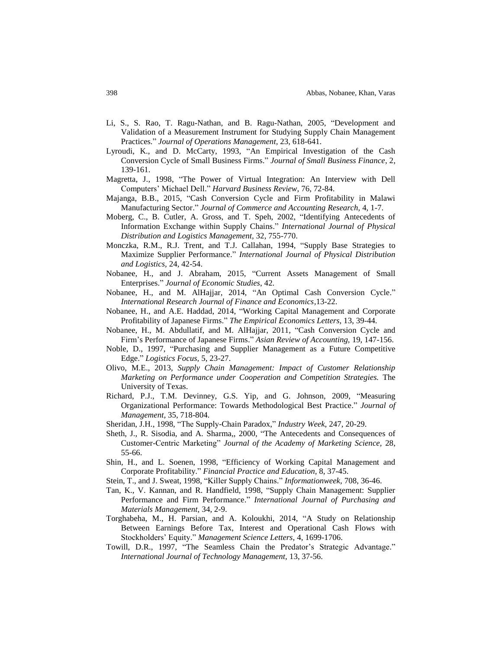- Li, S., S. Rao, T. Ragu-Nathan, and B. Ragu-Nathan, 2005, "Development and Validation of a Measurement Instrument for Studying Supply Chain Management Practices." *Journal of Operations Management,* 23, 618-641.
- Lyroudi, K., and D. McCarty, 1993, "An Empirical Investigation of the Cash Conversion Cycle of Small Business Firms." *Journal of Small Business Finance*, 2, 139-161.
- Magretta, J., 1998, "The Power of Virtual Integration: An Interview with Dell Computers' Michael Dell." *Harvard Business Review,* 76, 72-84.
- Majanga, B.B., 2015, "Cash Conversion Cycle and Firm Profitability in Malawi Manufacturing Sector." *Journal of Commerce and Accounting Research,* 4, 1-7.
- Moberg, C., B. Cutler, A. Gross, and T. Speh, 2002, "Identifying Antecedents of Information Exchange within Supply Chains." *International Journal of Physical Distribution and Logistics Management,* 32, 755-770.
- Monczka, R.M., R.J. Trent, and T.J. Callahan, 1994, "Supply Base Strategies to Maximize Supplier Performance." *International Journal of Physical Distribution and Logistics,* 24, 42-54.
- Nobanee, H., and J. Abraham, 2015, "Current Assets Management of Small Enterprises." *Journal of Economic Studies*, 42.
- Nobanee, H., and M. AlHajjar, 2014, "An Optimal Cash Conversion Cycle." *International Research Journal of Finance and Economics,*13-22.
- Nobanee, H., and A.E. Haddad, 2014, "Working Capital Management and Corporate Profitability of Japanese Firms." *The Empirical Economics Letters,* 13, 39-44.
- Nobanee, H., M. Abdullatif, and M. AlHajjar, 2011, "Cash Conversion Cycle and Firm's Performance of Japanese Firms." *Asian Review of Accounting,* 19, 147-156.
- Noble, D., 1997, "Purchasing and Supplier Management as a Future Competitive Edge." *Logistics Focus,* 5, 23-27.
- Olivo, M.E., 2013, *Supply Chain Management: Impact of Customer Relationship Marketing on Performance under Cooperation and Competition Strategies.* The University of Texas.
- Richard, P.J., T.M. Devinney, G.S. Yip, and G. Johnson, 2009, "Measuring Organizational Performance: Towards Methodological Best Practice." *Journal of Management,* 35, 718-804.
- Sheridan, J.H., 1998, "The Supply-Chain Paradox," *Industry Week,* 247, 20-29.
- Sheth, J., R. Sisodia, and A. Sharma,, 2000, "The Antecedents and Consequences of Customer-Centric Marketing" *Journal of the Academy of Marketing Science,* 28, 55-66.
- Shin, H., and L. Soenen, 1998, "Efficiency of Working Capital Management and Corporate Profitability." *Financial Practice and Education,* 8, 37-45.
- Stein, T., and J. Sweat, 1998, "Killer Supply Chains." *Informationweek,* 708, 36-46.
- Tan, K., V. Kannan, and R. Handfield, 1998, "Supply Chain Management: Supplier Performance and Firm Performance." *International Journal of Purchasing and Materials Management,* 34, 2-9.
- Torghabeha, M., H. Parsian, and A. Koloukhi, 2014, "A Study on Relationship Between Earnings Before Tax, Interest and Operational Cash Flows with Stockholders' Equity." *Management Science Letters*, 4, 1699-1706.
- Towill, D.R., 1997, "The Seamless Chain the Predator's Strategic Advantage." *International Journal of Technology Management,* 13, 37-56.